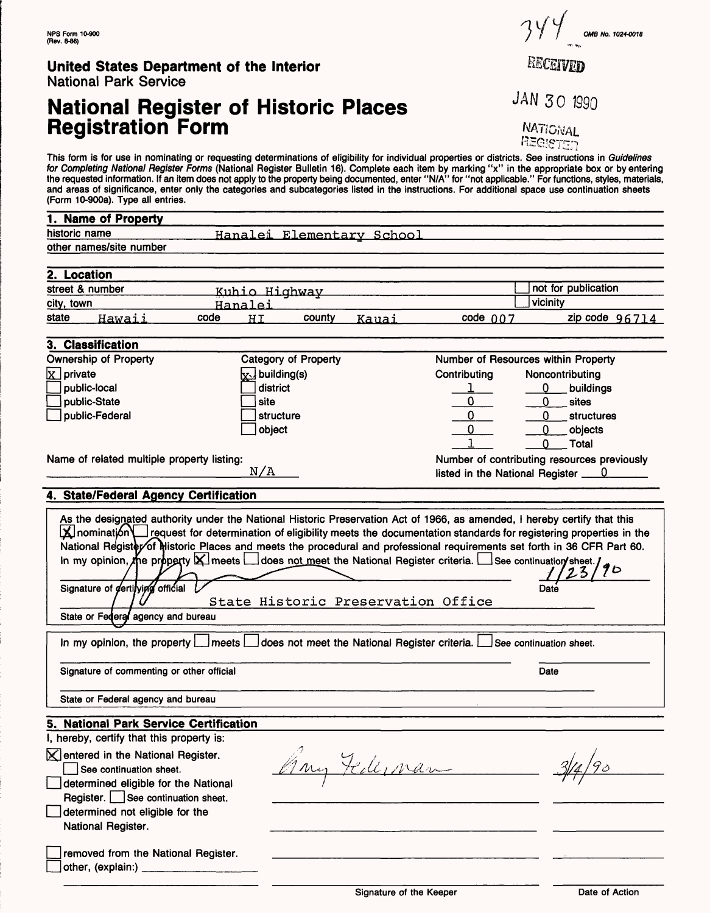# **National Register of Historic Places Registration Form**

This form is for use in nominating or requesting determinations of eligibility for individual properties or districts. See instructions in Guidelines for Completing National Register Forms (National Register Bulletin 16). Complete each item by marking "x" in the appropriate box or by entering the requested information. If an item does not apply to the property being documented, enter "N/A" for "not applicable." For functions, styles, materials, and areas of significance, enter only the categories and subcategories listed in the instructions. For additional space use continuation sheets (Form 10-900a). Type all entries.

| 1. Name of Property                                                                                                                                                                                                                                                                                                                                                                                                                                                                   |                                                   |                                             |                     |  |
|---------------------------------------------------------------------------------------------------------------------------------------------------------------------------------------------------------------------------------------------------------------------------------------------------------------------------------------------------------------------------------------------------------------------------------------------------------------------------------------|---------------------------------------------------|---------------------------------------------|---------------------|--|
| historic name                                                                                                                                                                                                                                                                                                                                                                                                                                                                         | Hanalei Elementary School                         |                                             |                     |  |
| other names/site number                                                                                                                                                                                                                                                                                                                                                                                                                                                               |                                                   |                                             |                     |  |
|                                                                                                                                                                                                                                                                                                                                                                                                                                                                                       |                                                   |                                             |                     |  |
| 2. Location                                                                                                                                                                                                                                                                                                                                                                                                                                                                           |                                                   |                                             |                     |  |
| street & number                                                                                                                                                                                                                                                                                                                                                                                                                                                                       | Kuhio Highway                                     |                                             | not for publication |  |
| city, town<br>Hanalei                                                                                                                                                                                                                                                                                                                                                                                                                                                                 |                                                   |                                             | vicinity            |  |
| state<br>Hawaii<br>code                                                                                                                                                                                                                                                                                                                                                                                                                                                               | county<br>HT<br>Kauai                             | code $007$                                  | zip code $96714$    |  |
|                                                                                                                                                                                                                                                                                                                                                                                                                                                                                       |                                                   |                                             |                     |  |
| 3. Classification                                                                                                                                                                                                                                                                                                                                                                                                                                                                     |                                                   |                                             |                     |  |
| <b>Ownership of Property</b>                                                                                                                                                                                                                                                                                                                                                                                                                                                          | <b>Category of Property</b>                       | Number of Resources within Property         |                     |  |
| $x$ private                                                                                                                                                                                                                                                                                                                                                                                                                                                                           | $x$ building(s)                                   | Contributing                                | Noncontributing     |  |
| public-local                                                                                                                                                                                                                                                                                                                                                                                                                                                                          | district                                          |                                             | 0<br>buildings      |  |
| public-State                                                                                                                                                                                                                                                                                                                                                                                                                                                                          | site                                              |                                             | 0<br>sites          |  |
| public-Federal                                                                                                                                                                                                                                                                                                                                                                                                                                                                        | structure                                         |                                             | O<br>structures     |  |
|                                                                                                                                                                                                                                                                                                                                                                                                                                                                                       | object                                            |                                             | 0<br>objects        |  |
|                                                                                                                                                                                                                                                                                                                                                                                                                                                                                       |                                                   |                                             | O<br>Total          |  |
| Name of related multiple property listing:                                                                                                                                                                                                                                                                                                                                                                                                                                            |                                                   | Number of contributing resources previously |                     |  |
|                                                                                                                                                                                                                                                                                                                                                                                                                                                                                       | N/A                                               |                                             |                     |  |
|                                                                                                                                                                                                                                                                                                                                                                                                                                                                                       |                                                   | listed in the National Register $\_\_0$     |                     |  |
| 4. State/Federal Agency Certification                                                                                                                                                                                                                                                                                                                                                                                                                                                 |                                                   |                                             |                     |  |
| $\mathbf X$ nomination $\mathbf u$ request for determination of eligibility meets the documentation standards for registering properties in the<br>National Register of Historic Places and meets the procedural and professional requirements set forth in 36 CFR Part 60.<br>National registry of graduate rates and most the presence and the National Register criteria. See continuation sheet.<br>Signature of <i>dertifying</i> official<br>State or Federal agency and bureau | State Historic Preservation Office                |                                             | Date                |  |
| In my opinion, the property $\Box$<br>$\mathop{\rule[1pt]{.5pt}{1.5pt}}$ meets $\mathop{\rule[1pt]{.5pt}{1.5pt}}$                                                                                                                                                                                                                                                                                                                                                                     | does not meet the National Register criteria. Let | See continuation sheet.                     |                     |  |
| Signature of commenting or other official                                                                                                                                                                                                                                                                                                                                                                                                                                             |                                                   |                                             | Date                |  |
| State or Federal agency and bureau                                                                                                                                                                                                                                                                                                                                                                                                                                                    |                                                   |                                             |                     |  |
| <b>National Park Service Certification</b>                                                                                                                                                                                                                                                                                                                                                                                                                                            |                                                   |                                             |                     |  |
| I, hereby, certify that this property is:                                                                                                                                                                                                                                                                                                                                                                                                                                             |                                                   |                                             |                     |  |
| <b>⊠</b> entered in the National Register.<br>See continuation sheet.<br>determined eligible for the National<br>Register.   See continuation sheet.                                                                                                                                                                                                                                                                                                                                  |                                                   |                                             |                     |  |
| determined not eligible for the<br>National Register.                                                                                                                                                                                                                                                                                                                                                                                                                                 |                                                   |                                             |                     |  |
| removed from the National Register.                                                                                                                                                                                                                                                                                                                                                                                                                                                   |                                                   |                                             |                     |  |

**OMB No. 1024-0018**

RECEIVED

JAN 30 1990

NATIONAL REGISTER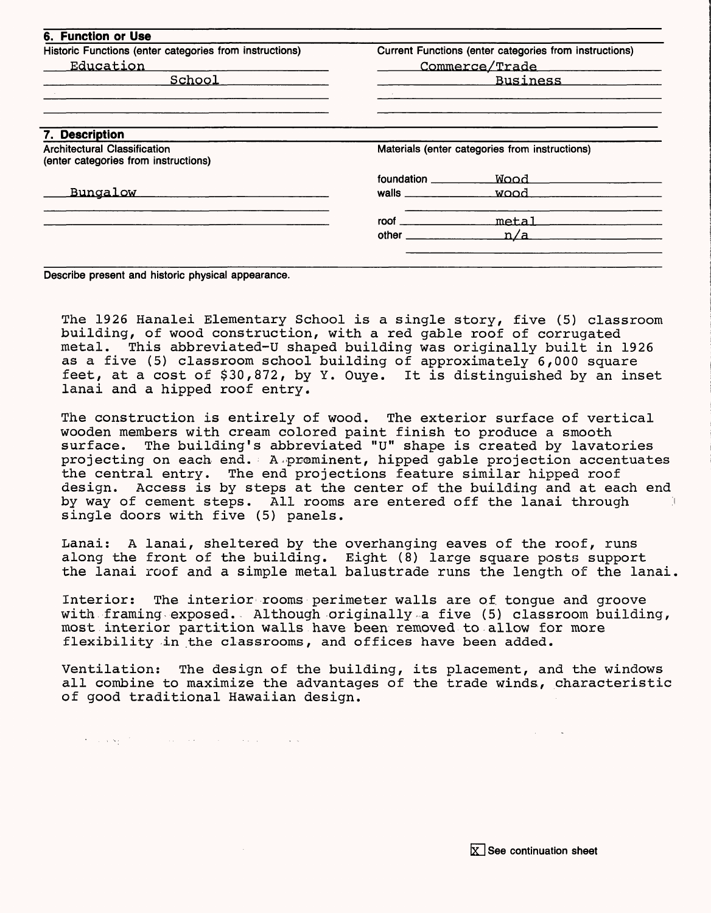| 6. Function or Use                                                          |                                                                                                                                                                                                                                     |                                                        |  |
|-----------------------------------------------------------------------------|-------------------------------------------------------------------------------------------------------------------------------------------------------------------------------------------------------------------------------------|--------------------------------------------------------|--|
| Historic Functions (enter categories from instructions)                     |                                                                                                                                                                                                                                     | Current Functions (enter categories from instructions) |  |
| Education                                                                   | Commerce/Trade                                                                                                                                                                                                                      |                                                        |  |
| School                                                                      |                                                                                                                                                                                                                                     | Business                                               |  |
|                                                                             |                                                                                                                                                                                                                                     |                                                        |  |
| 7. Description                                                              |                                                                                                                                                                                                                                     |                                                        |  |
| <b>Architectural Classification</b><br>(enter categories from instructions) | Materials (enter categories from instructions)                                                                                                                                                                                      |                                                        |  |
|                                                                             | foundation <b>contracts</b>                                                                                                                                                                                                         | Wood L                                                 |  |
| <b>Bungalow</b>                                                             | walls $\overline{\phantom{a}}$                                                                                                                                                                                                      | wood                                                   |  |
|                                                                             | root                                                                                                                                                                                                                                | metal                                                  |  |
|                                                                             | <b>other</b> and the state of the state of the state of the state of the state of the state of the state of the state of the state of the state of the state of the state of the state of the state of the state of the state of th | n/a                                                    |  |

**Describe present and historic physical appearance.**

 $\sigma$  , and  $\sigma_{\rm M}$  , the contraction of the contraction of the contraction of  $\sigma$ 

The 1926 Hanalei Elementary School is a single story, five (5) classroom building, of wood construction, with a red gable roof of corrugated metal. This abbreviated-U shaped building was originally built in 1926 as a five (5) classroom school building of approximately 6,000 square feet, at a cost of \$30,872, by Y. Ouye. It is distinguished by an inset lanai and a hipped roof entry.

The construction is entirely of wood. The exterior surface of vertical wooden members with cream colored paint finish to produce a smooth<br>surface. The building's abbreviated "U" shape is created by lavato The building's abbreviated "U" shape is created by lavatories projecting on each end. A.prominent, hipped gable projection accentuates the central entry. The end projections feature similar hipped roof design. Access is by steps at the center of the building and at each end by way of cement steps. All rooms are entered off the lanai through single doors with five (5) panels.

Lanai: A lanai, sheltered by the overhanging eaves of the roof, runs along the front of the building. Eight (8) large square posts support the lanai roof and a simple metal balustrade runs the length of the lanai,

Interior: The interior rooms perimeter walls are of tongue and groove with framing exposed. Although originally a five  $(5)$  classroom building, most interior partition walls have been removed to allow for more flexibility in the classrooms, and offices have been added.

Ventilation: The design of the building, its placement, and the windows all combine to maximize the advantages of the trade winds, characteristic of good traditional Hawaiian design.

**ET1 See continuation sheet**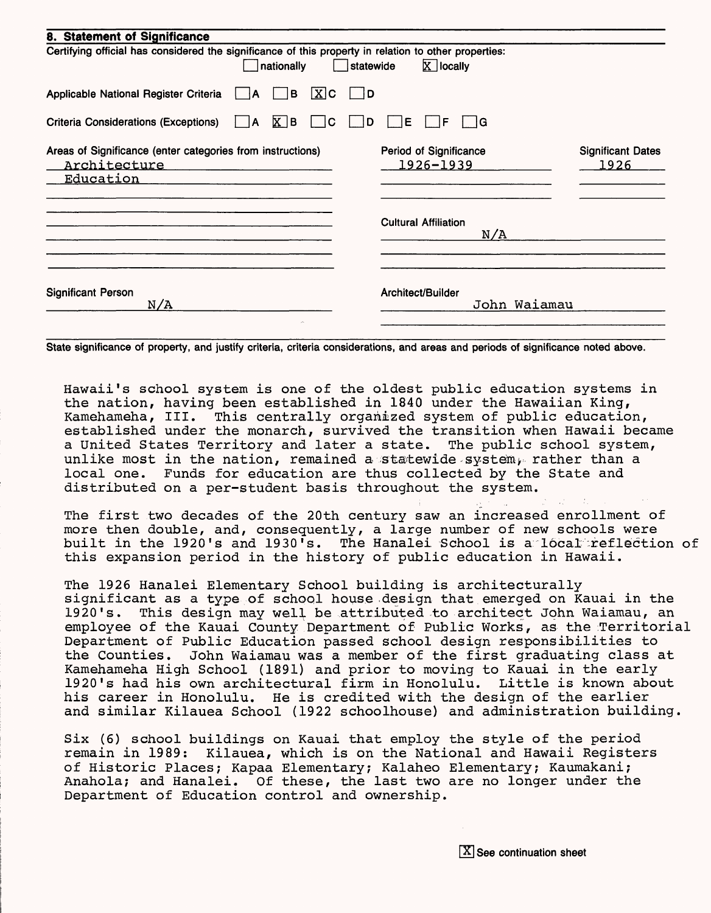| 8. Statement of Significance                                                                                                                    |                                     |                                  |  |  |
|-------------------------------------------------------------------------------------------------------------------------------------------------|-------------------------------------|----------------------------------|--|--|
| Certifying official has considered the significance of this property in relation to other properties:<br>$X$ locally<br>nationally<br>statewide |                                     |                                  |  |  |
| X C<br>Applicable National Register Criteria<br>ΙB<br>A                                                                                         | - ID                                |                                  |  |  |
| $X$ B<br><b>Criteria Considerations (Exceptions)</b><br>C<br>١A                                                                                 | ΙE<br>∣G<br>D<br>F                  |                                  |  |  |
| Areas of Significance (enter categories from instructions)<br>Architecture<br><u>Education</u>                                                  | Period of Significance<br>1926-1939 | <b>Significant Dates</b><br>1926 |  |  |
|                                                                                                                                                 | <b>Cultural Affiliation</b><br>N/A  |                                  |  |  |
| <b>Significant Person</b><br>N/A                                                                                                                | Architect/Builder<br>John Waiamau   |                                  |  |  |

**State significance of property, and justify criteria, criteria considerations, and areas and periods of significance noted above.**

Hawaii's school system is one of the oldest public education systems in the nation, having been established in 1840 under the Hawaiian King, Kamehameha, III. This centrally organized system of public education, established under the monarch, survived the transition when Hawaii became a United States Territory and later a state. The public school system, unlike most in the nation, remained a statewide system, rather than a local one. Funds for education are thus collected by the State and distributed on a per-student basis throughout the system.

The first two decades of the 20th century saw an increased enrollment of more then double, and, consequently, a large number of new schools were built in the 1920's and 1930's. The Hanalei School is a local reflection of this expansion period in the history of public education in Hawaii.

The 1926 Hanalei Elementary School building is architecturally significant as a type of school house design that emerged on Kauai in the 1920's. This design may well be attributed to architect John Waiamau, an employee of the Kauai County Department of Public Works, as the Territorial Department of Public Education passed school design responsibilities to the Counties. John Waiamau was a member of the first graduating class at Kamehameha High School (1891) and prior to moving to Kauai in the early<br>1920's had his own architectural firm in Honolulu. Little is known about 1920's had his own architectural firm in Honolulu. his career in Honolulu. He is credited with the design of the earlier and similar Kilauea School (1922 schoolhouse) and administration building.

Six (6) school buildings on Kauai that employ the style of the period remain in 1989: Kilauea, which is on the National and Hawaii Registers of Historic Places; Kapaa Elementary; Kalaheo Elementary; Kaumakani; Anahola; and Hanalei. Of these, the last two are no longer under the Department of Education control and ownership.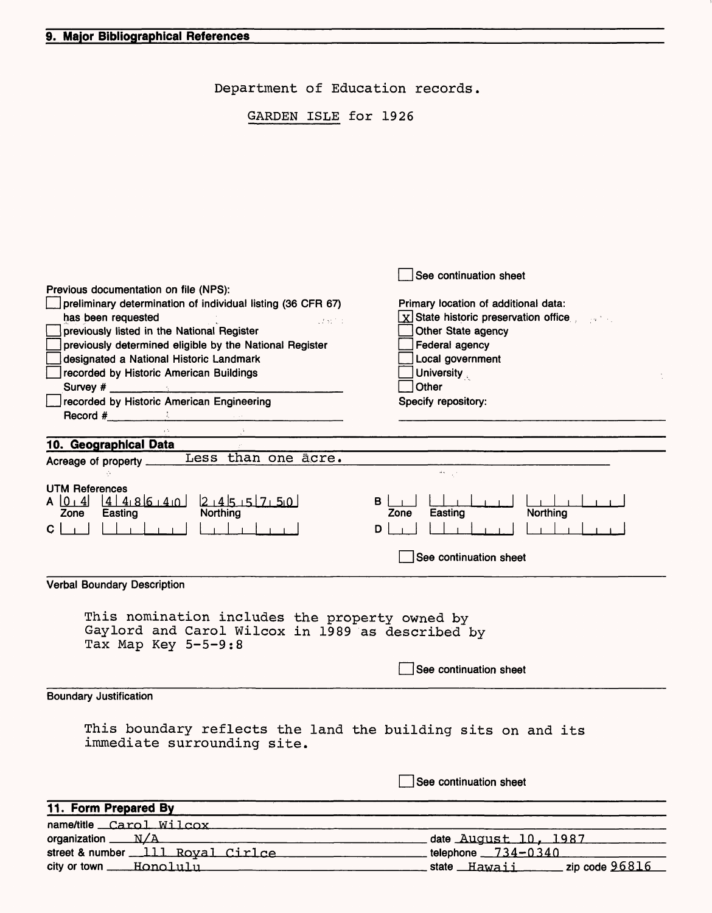Department of Education records.

GARDEN ISLE for 1926

|                                                                              | See continuation sheet                          |
|------------------------------------------------------------------------------|-------------------------------------------------|
| Previous documentation on file (NPS):                                        |                                                 |
| preliminary determination of individual listing (36 CFR 67)                  | Primary location of additional data:            |
| has been requested                                                           | $\mathbf{x}$ State historic preservation office |
| 17517-1<br>previously listed in the National Register                        | Other State agency                              |
| previously determined eligible by the National Register                      | Federal agency                                  |
| designated a National Historic Landmark                                      | Local government                                |
| recorded by Historic American Buildings                                      | <b>University</b>                               |
|                                                                              | Other                                           |
| recorded by Historic American Engineering                                    | Specify repository:                             |
| $\textsf{Record}\#$                                                          |                                                 |
|                                                                              |                                                 |
| 10. Geographical Data                                                        |                                                 |
| Less than one acre.<br>Acreage of property _____                             |                                                 |
|                                                                              |                                                 |
| <b>UTM References</b>                                                        |                                                 |
| $41486140$ $2145151750$<br>$A \ 0 \ 4$                                       | в                                               |
| Northing<br>Zone<br>Easting                                                  | Northing<br>Zone<br>Easting                     |
| Ç                                                                            | D                                               |
|                                                                              |                                                 |
|                                                                              | See continuation sheet                          |
| <b>Verbal Boundary Description</b>                                           |                                                 |
|                                                                              |                                                 |
|                                                                              |                                                 |
| This nomination includes the property owned by                               |                                                 |
| Gaylord and Carol Wilcox in 1989 as described by                             |                                                 |
| Tax Map Key 5-5-9:8                                                          |                                                 |
|                                                                              | See continuation sheet                          |
|                                                                              |                                                 |
| <b>Boundary Justification</b>                                                |                                                 |
|                                                                              |                                                 |
| This boundary reflects the land the building sits on and its                 |                                                 |
| immediate surrounding site.                                                  |                                                 |
|                                                                              |                                                 |
|                                                                              |                                                 |
|                                                                              | See continuation sheet                          |
|                                                                              |                                                 |
| 11. Form Prepared By                                                         |                                                 |
| name/title Carol Wilcox                                                      |                                                 |
| organization $N/A$                                                           | date August 10, 1987                            |
| street & number $111$ Royal Cirlce $\ldots$ elements to the phone $734-0340$ |                                                 |
|                                                                              |                                                 |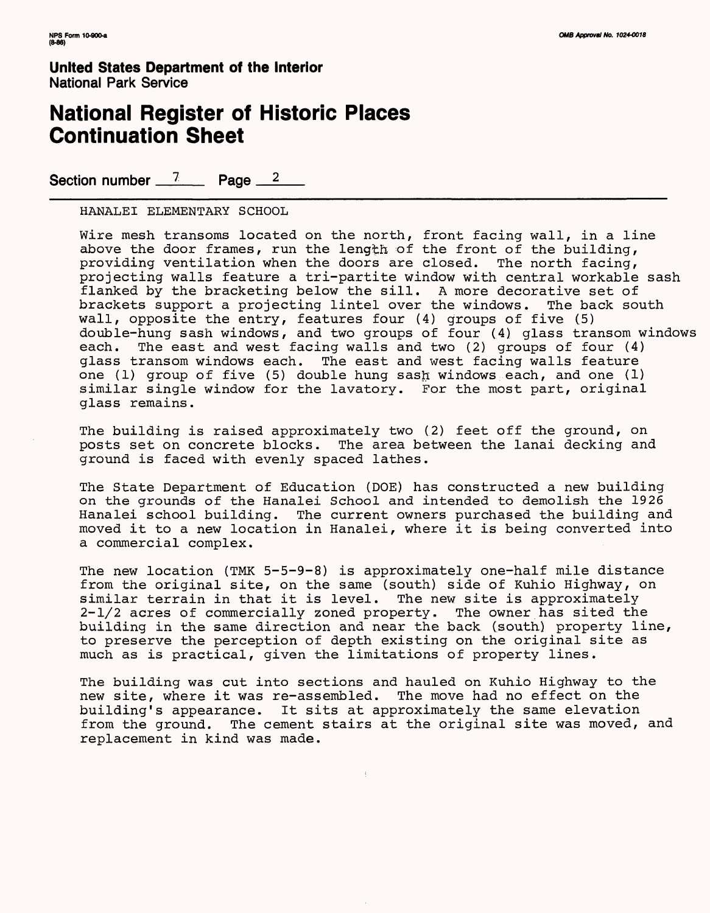### **National Register of Historic Places Continuation Sheet**

Section number  $\frac{7}{2}$  Page  $\frac{2}{3}$ 

HANALEI ELEMENTARY SCHOOL

Wire mesh transoms located on the north, front facing wall, in a line above the door frames, run the length of the front of the building, providing ventilation when the doors are closed. The north facing, projecting walls feature a tri-partite window with central workable sash flanked by the bracketing below the sill. A more decorative set of brackets support a projecting lintel over the windows. The back south wall, opposite the entry, features four (4) groups of five (5) double-hung sash windows, and two groups of four (4) glass transom windows each. The east and west facing walls and two (2) groups of four (4) glass transom windows each. The east and west facing walls feature one (1) group of five (5) double hung sash windows each, and one (1) similar single window for the lavatory. For the most part, original glass remains.

The building is raised approximately two (2) feet off the ground, on posts set on concrete blocks. The area between the lanai decking and ground is faced with evenly spaced lathes.

The State Department of Education (DOE) has constructed a new building on the grounds of the Hanalei School and intended to demolish the 1926 Hanalei school building. The current owners purchased the building and moved it to a new location in Hanalei, where it is being converted into a commercial complex.

The new location (TMK 5-5-9-8) is approximately one-half mile distance from the original site, on the same (south) side of Kuhio Highway, on similar terrain in that it is level. The new site is approximately 2-1/2 acres of commercially zoned property. The owner has sited the building in the same direction and near the back (south) property line, to preserve the perception of depth existing on the original site as much as is practical, given the limitations of property lines.

The building was cut into sections and hauled on Kuhio Highway to the new site, where it was re-assembled. The move had no effect on the building's appearance. It sits at approximately the same elevation from the ground. The cement stairs at the original site was moved, and replacement in kind was made.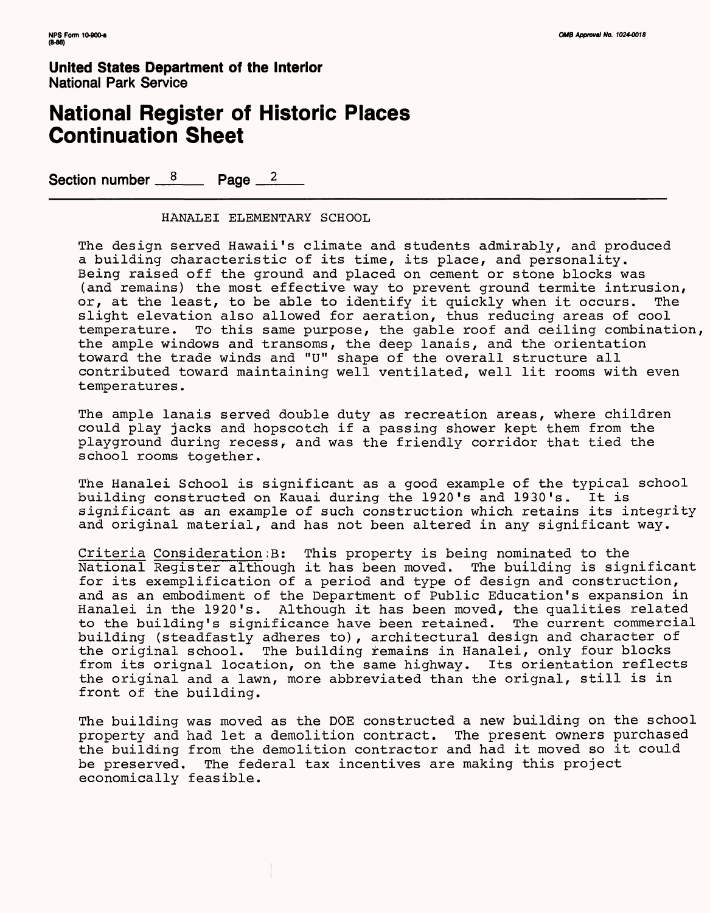### **National Register of Historic Places Continuation Sheet**

Section number  $8 \times 12$  Page  $2 \times 2$ 

HANALEI ELEMENTARY SCHOOL

The design served Hawaii's climate and students admirably, and produced a building characteristic of its time, its place, and personality. Being raised off the ground and placed on cement or stone blocks was (and remains) the most effective way to prevent ground termite intrusion, or, at the least, to be able to identify it quickly when it occurs. The slight elevation also allowed for aeration, thus reducing areas of cool temperature. To this same purpose, the gable roof and ceiling combination, the ample windows and transoms, the deep lanais, and the orientation toward the trade winds and "U" shape of the overall structure all contributed toward maintaining well ventilated, well lit rooms with even temperatures.

The ample lanais served double duty as recreation areas, where children could play jacks and hopscotch if a passing shower kept them from the playground during recess, and was the friendly corridor that tied the school rooms together.

The Hanalei School is significant as a good example of the typical school building constructed on Kauai during the 1920's and 1930's. It is significant as an example of such construction which retains its integrity and original material, and has not been altered in any significant way.

Criteria Consideration:B; This property is being nominated to the National Register although it has been moved. The building is significant for its exemplification of a period and type of design and construction, and as an embodiment of the Department of Public Education's expansion in Hanalei in the 1920's. Although it has been moved, the qualities related to the building's significance have been retained. The current commercial building (steadfastly adheres to), architectural design and character of the original school. The building remains in Hanalei, only four blocks from its orignal location, on the same highway. Its orientation reflects the original and a lawn, more abbreviated than the orignal, still is in front of the building.

The building was moved as the DOE constructed a new building on the school property and had let a demolition contract. The present owners purchased the building from the demolition contractor and had it moved so it could be preserved. The federal tax incentives are making this project economically feasible.